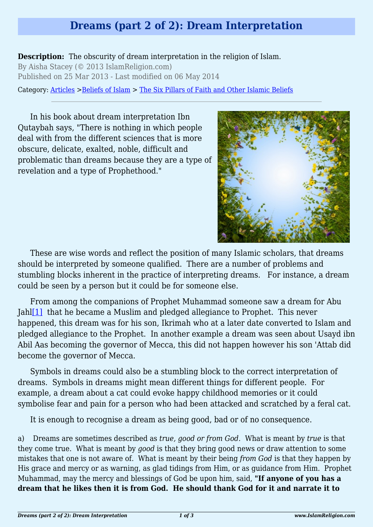# **Dreams (part 2 of 2): Dream Interpretation**

**Description:** The obscurity of dream interpretation in the religion of Islam. By Aisha Stacey (© 2013 IslamReligion.com) Published on 25 Mar 2013 - Last modified on 06 May 2014

Category: [Articles](http://www.islamreligion.com/articles/) >[Beliefs of Islam](http://www.islamreligion.com/category/48/) > [The Six Pillars of Faith and Other Islamic Beliefs](http://www.islamreligion.com/category/50/)

In his book about dream interpretation Ibn Qutaybah says, "There is nothing in which people deal with from the different sciences that is more obscure, delicate, exalted, noble, difficult and problematic than dreams because they are a type of revelation and a type of Prophethood."



These are wise words and reflect the position of many Islamic scholars, that dreams should be interpreted by someone qualified. There are a number of problems and stumbling blocks inherent in the practice of interpreting dreams. For instance, a dream could be seen by a person but it could be for someone else.

<span id="page-0-0"></span>From among the companions of Prophet Muhammad someone saw a dream for Abu Jah[l\[1\]](#page-2-0) that he became a Muslim and pledged allegiance to Prophet. This never happened, this dream was for his son, Ikrimah who at a later date converted to Islam and pledged allegiance to the Prophet. In another example a dream was seen about Usayd ibn Abil Aas becoming the governor of Mecca, this did not happen however his son 'Attab did become the governor of Mecca.

Symbols in dreams could also be a stumbling block to the correct interpretation of dreams. Symbols in dreams might mean different things for different people. For example, a dream about a cat could evoke happy childhood memories or it could symbolise fear and pain for a person who had been attacked and scratched by a feral cat.

It is enough to recognise a dream as being good, bad or of no consequence.

<span id="page-0-1"></span>a) Dreams are sometimes described as *true, good or from God*. What is meant by *true* is that they come true. What is meant by *good* is that they bring good news or draw attention to some mistakes that one is not aware of. What is meant by their being *from God* is that they happen by His grace and mercy or as warning, as glad tidings from Him, or as guidance from Him. Prophet Muhammad, may the mercy and blessings of God be upon him, said, **"If anyone of you has a dream that he likes then it is from God. He should thank God for it and narrate it to**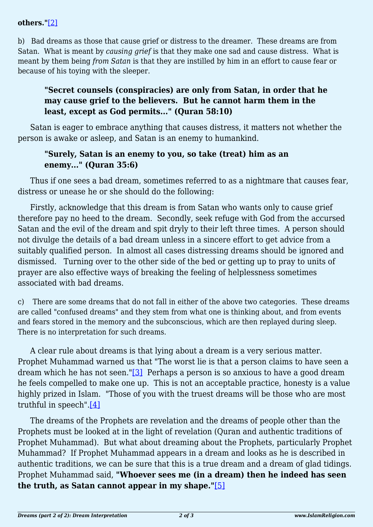#### **others."**[\[2\]](#page-2-1)

b) Bad dreams as those that cause grief or distress to the dreamer. These dreams are from Satan. What is meant by *causing grief* is that they make one sad and cause distress. What is meant by them being *from Satan* is that they are instilled by him in an effort to cause fear or because of his toying with the sleeper.

## **"Secret counsels (conspiracies) are only from Satan, in order that he may cause grief to the believers. But he cannot harm them in the least, except as God permits..." (Quran 58:10)**

Satan is eager to embrace anything that causes distress, it matters not whether the person is awake or asleep, and Satan is an enemy to humankind.

#### **"Surely, Satan is an enemy to you, so take (treat) him as an enemy..." (Quran 35:6)**

Thus if one sees a bad dream, sometimes referred to as a nightmare that causes fear, distress or unease he or she should do the following:

Firstly, acknowledge that this dream is from Satan who wants only to cause grief therefore pay no heed to the dream. Secondly, seek refuge with God from the accursed Satan and the evil of the dream and spit dryly to their left three times. A person should not divulge the details of a bad dream unless in a sincere effort to get advice from a suitably qualified person. In almost all cases distressing dreams should be ignored and dismissed. Turning over to the other side of the bed or getting up to pray to units of prayer are also effective ways of breaking the feeling of helplessness sometimes associated with bad dreams.

c) There are some dreams that do not fall in either of the above two categories. These dreams are called "confused dreams" and they stem from what one is thinking about, and from events and fears stored in the memory and the subconscious, which are then replayed during sleep. There is no interpretation for such dreams.

<span id="page-1-0"></span>A clear rule about dreams is that lying about a dream is a very serious matter. Prophet Muhammad warned us that "The worst lie is that a person claims to have seen a dream which he has not seen." $[3]$  Perhaps a person is so anxious to have a good dream he feels compelled to make one up. This is not an acceptable practice, honesty is a value highly prized in Islam. "Those of you with the truest dreams will be those who are most truthful in speech" $[4]$ 

<span id="page-1-2"></span><span id="page-1-1"></span>The dreams of the Prophets are revelation and the dreams of people other than the Prophets must be looked at in the light of revelation (Quran and authentic traditions of Prophet Muhammad). But what about dreaming about the Prophets, particularly Prophet Muhammad? If Prophet Muhammad appears in a dream and looks as he is described in authentic traditions, we can be sure that this is a true dream and a dream of glad tidings. Prophet Muhammad said, **"Whoever sees me (in a dream) then he indeed has seen the truth, as Satan cannot appear in my shape."**[\[5\]](#page-2-4)